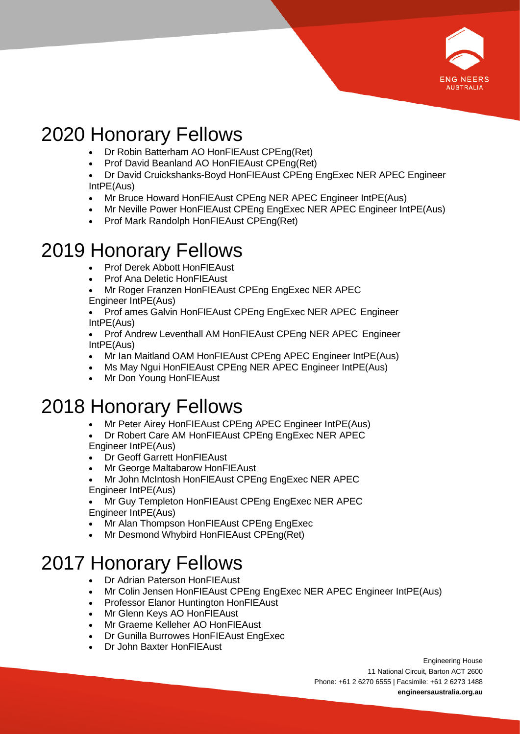

# 2020 Honorary Fellows

- Dr Robin Batterham AO HonFIEAust CPEng(Ret)
- Prof David Beanland AO HonFIEAust CPEng(Ret)
- Dr David Cruickshanks-Boyd HonFIEAust CPEng EngExec NER APEC Engineer IntPE(Aus)
- Mr Bruce Howard HonFIEAust CPEng NER APEC Engineer IntPE(Aus)
- Mr Neville Power HonFIEAust CPEng EngExec NER APEC Engineer IntPE(Aus)
- Prof Mark Randolph HonFIEAust CPEng(Ret)

### 2019 Honorary Fellows

- Prof Derek Abbott HonFIEAust
- Prof Ana Deletic HonFIEAust

• Mr Roger Franzen HonFIEAust CPEng EngExec NER APEC Engineer IntPE(Aus)

• Prof ames Galvin HonFIEAust CPEng EngExec NER APEC Engineer IntPE(Aus)

• Prof Andrew Leventhall AM HonFIEAust CPEng NER APEC Engineer IntPE(Aus)

- Mr Ian Maitland OAM HonFIEAust CPEng APEC Engineer IntPE(Aus)
- Ms May Ngui HonFIEAust CPEng NER APEC Engineer IntPE(Aus)
- Mr Don Young HonFIEAust

### 2018 Honorary Fellows

- Mr Peter Airey HonFIEAust CPEng APEC Engineer IntPE(Aus)
- Dr Robert Care AM HonFIEAust CPEng EngExec NER APEC Engineer IntPE(Aus)
- Dr Geoff Garrett HonFIEAust
- Mr George Maltabarow HonFIEAust
- Mr John McIntosh HonFIEAust CPEng EngExec NER APEC Engineer IntPE(Aus)

• Mr Guy Templeton HonFIEAust CPEng EngExec NER APEC Engineer IntPE(Aus)

- Mr Alan Thompson HonFIEAust CPEng EngExec
- Mr Desmond Whybird HonFIEAust CPEng(Ret)

## 2017 Honorary Fellows

- Dr Adrian Paterson HonFIEAust
- Mr Colin Jensen HonFIEAust CPEng EngExec NER APEC Engineer IntPE(Aus)
- Professor Elanor Huntington HonFIEAust
- Mr Glenn Keys AO HonFIEAust
- Mr Graeme Kelleher AO HonFIEAust
- Dr Gunilla Burrowes HonFIEAust EngExec
- Dr John Baxter HonFIEAust

Engineering House 11 National Circuit, Barton ACT 2600 Phone: +61 2 6270 6555 | Facsimile: +61 2 6273 1488 **engineersaustralia.org.au**